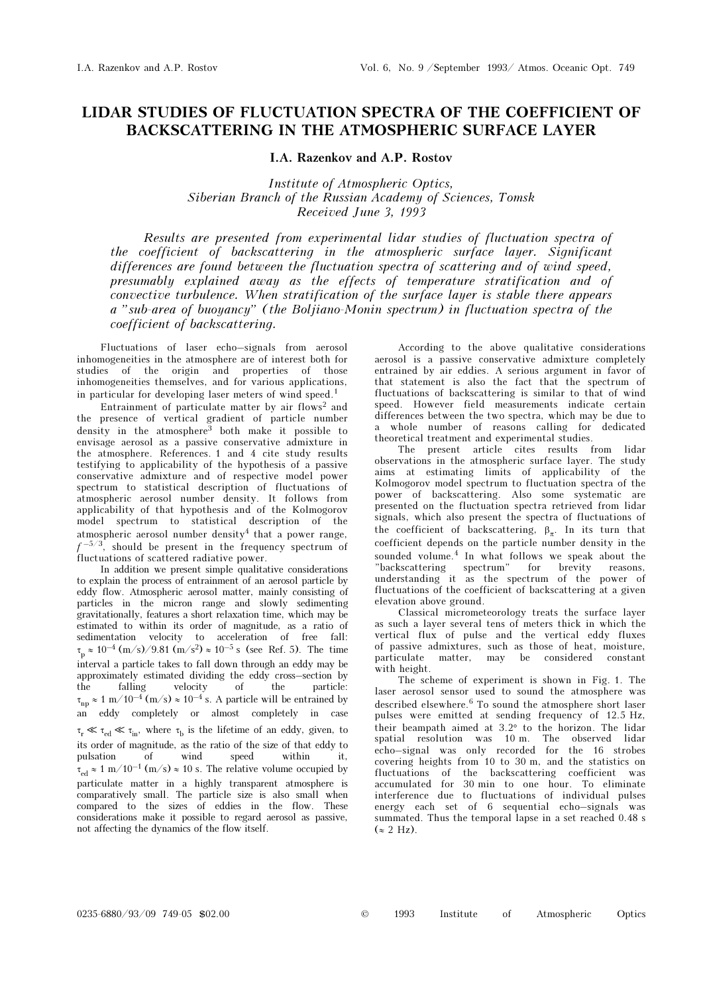## LIDAR STUDIES OF FLUCTUATION SPECTRA OF THE COEFFICIENT OF BACKSCATTERING IN THE ATMOSPHERIC SURFACE LAYER

I.A. Razenkov and A.P. Rostov

Institute of Atmospheric Optics, Siberian Branch of the Russian Academy of Sciences, Tomsk Received June 3, 1993

Results are presented from experimental lidar studies of fluctuation spectra of the coefficient of backscattering in the atmospheric surface layer. Significant differences are found between the fluctuation spectra of scattering and of wind speed, presumably explained away as the effects of temperature stratification and of convective turbulence. When stratification of the surface layer is stable there appears a "sub-area of buoyancy" (the Boljiano-Monin spectrum) in fluctuation spectra of the coefficient of backscattering.

Fluctuations of laser echo–signals from aerosol inhomogeneities in the atmosphere are of interest both for studies of the origin and properties of those inhomogeneities themselves, and for various applications, in particular for developing laser meters of wind speed.<sup>1</sup>

Entrainment of particulate matter by air flows<sup>2</sup> and the presence of vertical gradient of particle number density in the atmosphere3 both make it possible to envisage aerosol as a passive conservative admixture in the atmosphere. References. 1 and 4 cite study results testifying to applicability of the hypothesis of a passive conservative admixture and of respective model power spectrum to statistical description of fluctuations of atmospheric aerosol number density. It follows from applicability of that hypothesis and of the Kolmogorov model spectrum to statistical description of the atmospheric aerosol number density<sup>4</sup> that a power range,  $f^{-5/3}$ , should be present in the frequency spectrum of fluctuations of scattered radiative power.

In addition we present simple qualitative considerations to explain the process of entrainment of an aerosol particle by eddy flow. Atmospheric aerosol matter, mainly consisting of particles in the micron range and slowly sedimenting gravitationally, features a short relaxation time, which may be estimated to within its order of magnitude, as a ratio of sedimentation velocity to acceleration of free fall:  $\tau_p \approx 10^{-4}$  (m/s)/9.81 (m/s<sup>2</sup>)  $\approx 10^{-5}$  s (see Ref. 5). The time interval a particle takes to fall down through an eddy may be approximately estimated dividing the eddy cross–section by the falling velocity of the particle:  $\tau_{np} \approx 1 \text{ m}/10^{-4} \text{ (m/s)} \approx 10^{-4} \text{ s}$ . A particle will be entrained by an eddy completely or almost completely in case  $\tau_r \ll \tau_{\text{ed}} \ll \tau_{\text{in}}$ , where  $\tau_{\text{b}}$  is the lifetime of an eddy, given, to its order of magnitude, as the ratio of the size of that eddy to pulsation of wind speed within it, of wind speed within it,  $\tau_{\rm ed} \approx 1 \text{ m}/10^{-1} \text{ (m/s)} \approx 10 \text{ s}$ . The relative volume occupied by particulate matter in a highly transparent atmosphere is comparatively small. The particle size is also small when compared to the sizes of eddies in the flow. These considerations make it possible to regard aerosol as passive, not affecting the dynamics of the flow itself.

According to the above qualitative considerations aerosol is a passive conservative admixture completely entrained by air eddies. A serious argument in favor of that statement is also the fact that the spectrum of fluctuations of backscattering is similar to that of wind speed. However field measurements indicate certain differences between the two spectra, which may be due to a whole number of reasons calling for dedicated theoretical treatment and experimental studies.

The present article cites results from lidar observations in the atmospheric surface layer. The study aims at estimating limits of applicability of the Kolmogorov model spectrum to fluctuation spectra of the power of backscattering. Also some systematic are presented on the fluctuation spectra retrieved from lidar signals, which also present the spectra of fluctuations of the coefficient of backscattering,  $\beta_{\pi}$ . In its turn that coefficient depends on the particle number density in the sounded volume.4 In what follows we speak about the "backscattering spectrum" for brevity reasons, understanding it as the spectrum of the power of fluctuations of the coefficient of backscattering at a given elevation above ground.

Classical micrometeorology treats the surface layer as such a layer several tens of meters thick in which the vertical flux of pulse and the vertical eddy fluxes of passive admixtures, such as those of heat, moisture, particulate matter, may be considered constant with height.

The scheme of experiment is shown in Fig. 1. The laser aerosol sensor used to sound the atmosphere was described elsewhere.<sup>6</sup> To sound the atmosphere short laser pulses were emitted at sending frequency of 12.5 Hz, their beampath aimed at 3.2° to the horizon. The lidar spatial resolution was 10 m. The observed lidar echo–signal was only recorded for the 16 strobes covering heights from 10 to 30 m, and the statistics on fluctuations of the backscattering coefficient was accumulated for 30 min to one hour. To eliminate interference due to fluctuations of individual pulses energy each set of 6 sequential echo–signals was summated. Thus the temporal lapse in a set reached 0.48 s  $(\approx 2 \text{ Hz})$ .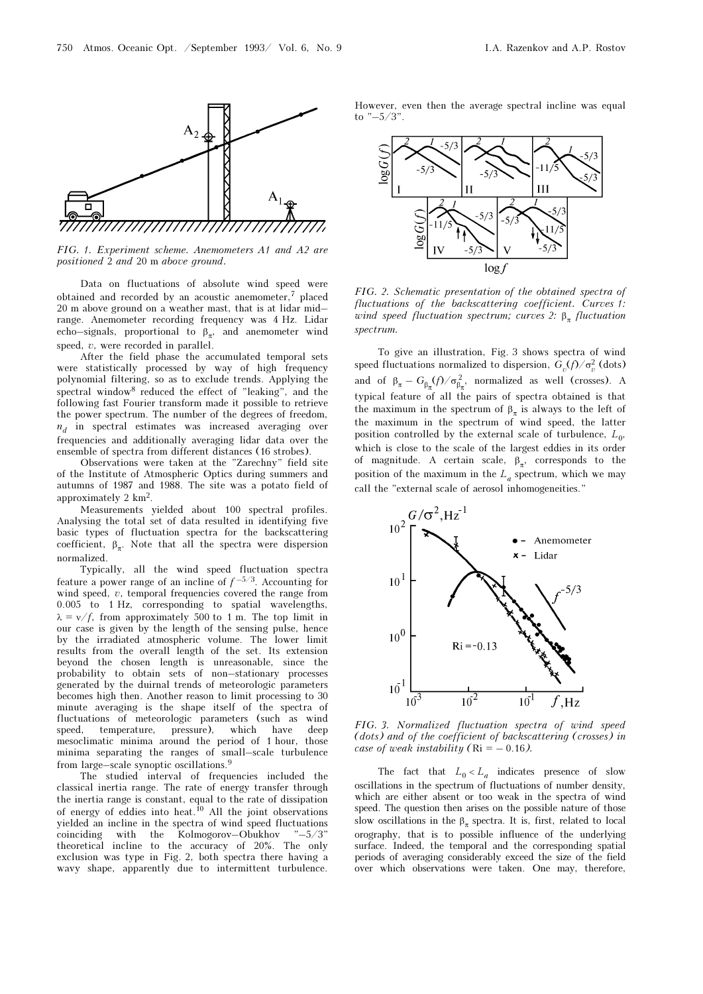

FIG. 1. Experiment scheme. Anemometers A1 and A2 are positioned 2 and 20 m above ground.

Data on fluctuations of absolute wind speed were obtained and recorded by an acoustic anemometer,7 placed 20 m above ground on a weather mast, that is at lidar mid– range. Anemometer recording frequency was 4 Hz. Lidar echo–signals, proportional to  $\beta_{\pi}$ , and anemometer wind speed, v, were recorded in parallel.

After the field phase the accumulated temporal sets were statistically processed by way of high frequency polynomial filtering, so as to exclude trends. Applying the spectral window<sup>8</sup> reduced the effect of "leaking", and the following fast Fourier transform made it possible to retrieve the power spectrum. The number of the degrees of freedom,  $n_d$  in spectral estimates was increased averaging over frequencies and additionally averaging lidar data over the ensemble of spectra from different distances (16 strobes).

Observations were taken at the "Zarechny" field site of the Institute of Atmospheric Optics during summers and autumns of 1987 and 1988. The site was a potato field of approximately 2 km2.

Measurements yielded about 100 spectral profiles. Analysing the total set of data resulted in identifying five basic types of fluctuation spectra for the backscattering coefficient,  $\beta_{\pi}$ . Note that all the spectra were dispersion normalized.

Typically, all the wind speed fluctuation spectra feature a power range of an incline of  $f^{-5/3}$ . Accounting for wind speed,  $v$ , temporal frequencies covered the range from 0.005 to 1 Hz, corresponding to spatial wavelengths,  $\lambda = v/f$ , from approximately 500 to 1 m. The top limit in our case is given by the length of the sensing pulse, hence by the irradiated atmospheric volume. The lower limit results from the overall length of the set. Its extension beyond the chosen length is unreasonable, since the probability to obtain sets of non–stationary processes generated by the duirnal trends of meteorologic parameters becomes high then. Another reason to limit processing to 30 minute averaging is the shape itself of the spectra of fluctuations of meteorologic parameters (such as wind speed, temperature, pressure), which have deep mesoclimatic minima around the period of 1 hour, those minima separating the ranges of small–scale turbulence from large–scale synoptic oscillations.<sup>9</sup>

The studied interval of frequencies included the classical inertia range. The rate of energy transfer through the inertia range is constant, equal to the rate of dissipation of energy of eddies into heat.<sup>10</sup> All the joint observations yielded an incline in the spectra of wind speed fluctuations coinciding with the Kolmogorov–Obukhov "–5/3" theoretical incline to the accuracy of 20%. The only exclusion was type in Fig. 2, both spectra there having a wavy shape, apparently due to intermittent turbulence.

However, even then the average spectral incline was equal to " $-5/3$ ".



FIG. 2. Schematic presentation of the obtained spectra of fluctuations of the backscattering coefficient. Curves 1: wind speed fluctuation spectrum; curves 2:  $\beta_{\pi}$  fluctuation spectrum.

To give an illustration, Fig. 3 shows spectra of wind speed fluctuations normalized to dispersion,  $G_v(f)/\sigma_v^2$  (dots) and of  $\beta_{\pi} - G_{\beta_{\pi}}(f)/\sigma_{\beta_{\pi}}^2$ , normalized as well (crosses). A typical feature of all the pairs of spectra obtained is that the maximum in the spectrum of  $\beta_{\pi}$  is always to the left of the maximum in the spectrum of wind speed, the latter position controlled by the external scale of turbulence,  $L_0$ , which is close to the scale of the largest eddies in its order of magnitude. A certain scale,  $\beta_{\pi}$ , corresponds to the position of the maximum in the  $L_a$  spectrum, which we may call the "external scale of aerosol inhomogeneities."



FIG. 3. Normalized fluctuation spectra of wind speed (dots) and of the coefficient of backscattering (crosses) in case of weak instability ( $\text{Ri} = -0.16$ ).

The fact that  $L_0 < L_a$  indicates presence of slow oscillations in the spectrum of fluctuations of number density, which are either absent or too weak in the spectra of wind speed. The question then arises on the possible nature of those slow oscillations in the  $\beta$ <sub>π</sub> spectra. It is, first, related to local orography, that is to possible influence of the underlying surface. Indeed, the temporal and the corresponding spatial periods of averaging considerably exceed the size of the field over which observations were taken. One may, therefore,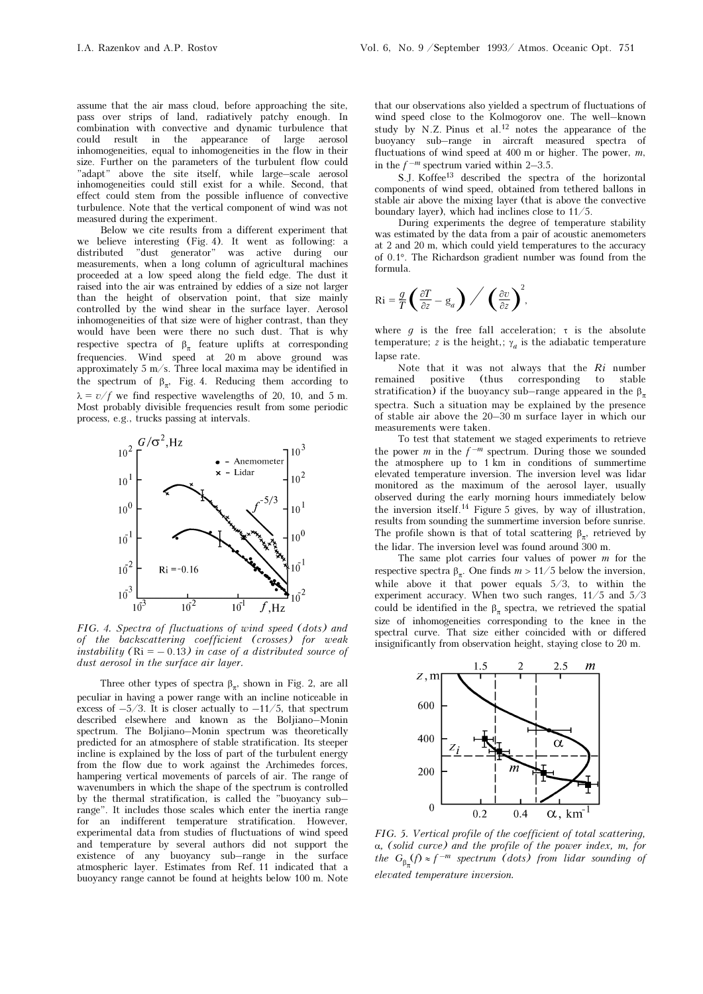assume that the air mass cloud, before approaching the site, pass over strips of land, radiatively patchy enough. In combination with convective and dynamic turbulence that could result in the appearance of inhomogeneities, equal to inhomogeneities in the flow in their size. Further on the parameters of the turbulent flow could "adapt" above the site itself, while large–scale aerosol inhomogeneities could still exist for a while. Second, that effect could stem from the possible influence of convective turbulence. Note that the vertical component of wind was not measured during the experiment.

Below we cite results from a different experiment that we believe interesting (Fig. 4). It went as following: a distributed "dust generator" was active during our measurements, when a long column of agricultural machines proceeded at a low speed along the field edge. The dust it raised into the air was entrained by eddies of a size not larger than the height of observation point, that size mainly controlled by the wind shear in the surface layer. Aerosol inhomogeneities of that size were of higher contrast, than they would have been were there no such dust. That is why respective spectra of  $\beta_{\pi}$  feature uplifts at corresponding frequencies. Wind speed at 20 m above ground was approximately 5 m/s. Three local maxima may be identified in the spectrum of  $\beta_{\pi}$ , Fig. 4. Reducing them according to  $\lambda = v/f$  we find respective wavelengths of 20, 10, and 5 m. Most probably divisible frequencies result from some periodic process, e.g., trucks passing at intervals.



FIG. 4. Spectra of fluctuations of wind speed (dots) and of the backscattering coefficient (crosses) for weak instability  $(Ri = -0.13)$  in case of a distributed source of dust aerosol in the surface air layer.

Three other types of spectra  $\beta_{\pi}$ , shown in Fig. 2, are all peculiar in having a power range with an incline noticeable in excess of  $-5/3$ . It is closer actually to  $-11/5$ , that spectrum described elsewhere and known as the Boljiano–Monin spectrum. The Boljiano–Monin spectrum was theoretically predicted for an atmosphere of stable stratification. Its steeper incline is explained by the loss of part of the turbulent energy from the flow due to work against the Archimedes forces, hampering vertical movements of parcels of air. The range of wavenumbers in which the shape of the spectrum is controlled by the thermal stratification, is called the "buoyancy sub– range". It includes those scales which enter the inertia range for an indifferent temperature stratification. However, experimental data from studies of fluctuations of wind speed and temperature by several authors did not support the existence of any buoyancy sub–range in the surface atmospheric layer. Estimates from Ref. 11 indicated that a buoyancy range cannot be found at heights below 100 m. Note

that our observations also yielded a spectrum of fluctuations of wind speed close to the Kolmogorov one. The well–known study by N.Z. Pinus et al.<sup>12</sup> notes the appearance of the buoyancy sub–range in aircraft measured spectra of fluctuations of wind speed at 400 m or higher. The power,  $m$ , in the  $f^{-m}$  spectrum varied within 2–3.5.

S.J. Koffee13 described the spectra of the horizontal components of wind speed, obtained from tethered ballons in stable air above the mixing layer (that is above the convective boundary layer), which had inclines close to 11/5.

During experiments the degree of temperature stability was estimated by the data from a pair of acoustic anemometers at 2 and 20 m, which could yield temperatures to the accuracy of 0.1°. The Richardson gradient number was found from the formula.

$$
\mathrm{Ri} = \frac{g}{T} \left( \frac{\partial T}{\partial z} - \mathrm{g}_a \right) \bigg/ \left( \frac{\partial v}{\partial z} \right)^2,
$$

where q is the free fall acceleration;  $\tau$  is the absolute temperature; z is the height,;  $\gamma_a$  is the adiabatic temperature lapse rate.

Note that it was not always that the  $Ri$  number<br>remained positive (thus corresponding to stable positive (thus corresponding to stable stratification) if the buoyancy sub–range appeared in the  $\beta$ spectra. Such a situation may be explained by the presence of stable air above the 20–30 m surface layer in which our measurements were taken.

To test that statement we staged experiments to retrieve the power m in the  $f^{-m}$  spectrum. During those we sounded the atmosphere up to 1 km in conditions of summertime elevated temperature inversion. The inversion level was lidar monitored as the maximum of the aerosol layer, usually observed during the early morning hours immediately below the inversion itself.14 Figure 5 gives, by way of illustration, results from sounding the summertime inversion before sunrise. The profile shown is that of total scattering  $\beta_{\pi}$ , retrieved by the lidar. The inversion level was found around 300 m.

The same plot carries four values of power  $m$  for the respective spectra  $\beta_{\pi}$ . One finds  $m > 11/5$  below the inversion, while above it that power equals 5/3, to within the experiment accuracy. When two such ranges, 11/5 and 5/3 could be identified in the  $\beta_{\pi}$  spectra, we retrieved the spatial size of inhomogeneities corresponding to the knee in the spectral curve. That size either coincided with or differed insignificantly from observation height, staying close to 20 m.



FIG. 5. Vertical profile of the coefficient of total scattering, α, (solid curve) and the profile of the power index, m, for the  $G_{\beta_{\pi}}(f) \approx f^{-m}$  spectrum (dots) from lidar sounding of elevated temperature inversion.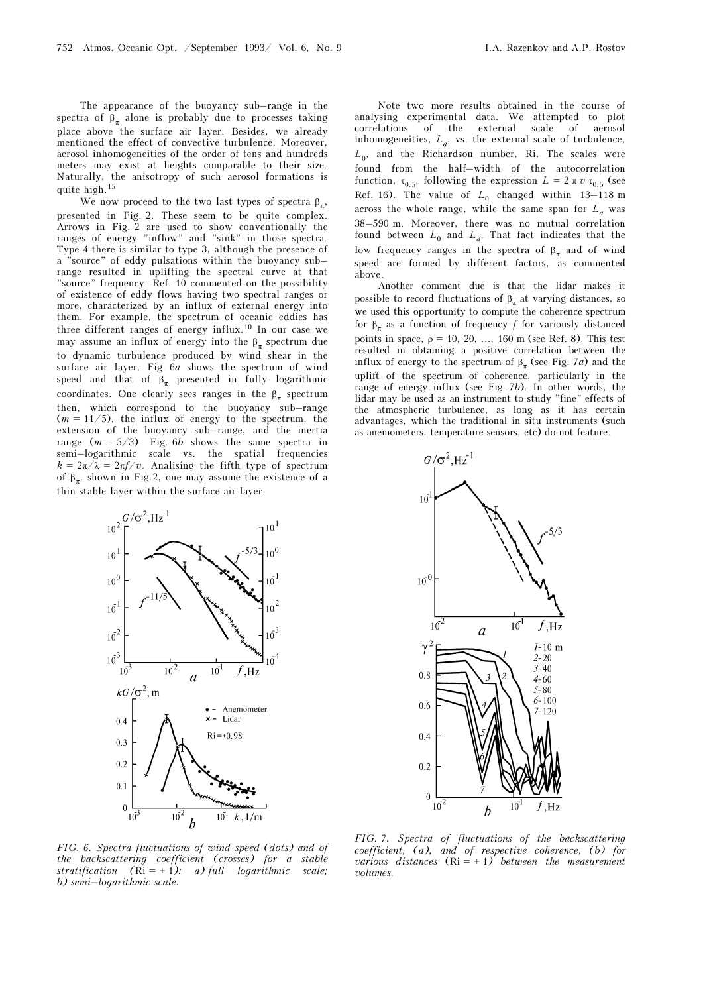The appearance of the buoyancy sub–range in the spectra of  $\beta_{\pi}$  alone is probably due to processes taking place above the surface air layer. Besides, we already mentioned the effect of convective turbulence. Moreover, aerosol inhomogeneities of the order of tens and hundreds meters may exist at heights comparable to their size. Naturally, the anisotropy of such aerosol formations is quite high.<sup>15</sup>

We now proceed to the two last types of spectra  $\beta$ , presented in Fig. 2. These seem to be quite complex. Arrows in Fig. 2 are used to show conventionally the ranges of energy "inflow" and "sink" in those spectra. Type 4 there is similar to type 3, although the presence of a "source" of eddy pulsations within the buoyancy sub– range resulted in uplifting the spectral curve at that "source" frequency. Ref. 10 commented on the possibility of existence of eddy flows having two spectral ranges or more, characterized by an influx of external energy into them. For example, the spectrum of oceanic eddies has three different ranges of energy influx.10 In our case we may assume an influx of energy into the  $\beta_{\pi}$  spectrum due to dynamic turbulence produced by wind shear in the surface air layer. Fig. 6a shows the spectrum of wind speed and that of  $\beta_{\pi}$  presented in fully logarithmic coordinates. One clearly sees ranges in the  $\beta_{\pi}$  spectrum then, which correspond to the buoyancy sub–range  $(m = 11/5)$ , the influx of energy to the spectrum, the extension of the buoyancy sub–range, and the inertia range  $(m = 5/3)$ . Fig. 6b shows the same spectra in semi–logarithmic scale vs. the spatial frequencies  $k = 2\pi/\lambda = 2\pi f/v$ . Analising the fifth type of spectrum of  $\beta_{\pi}$ , shown in Fig.2, one may assume the existence of a thin stable layer within the surface air layer.



Note two more results obtained in the course of analysing experimental data. We attempted to plot correlations of the external scale of aerosol inhomogeneities,  $L_a$ , vs. the external scale of turbulence,  $L_0$ , and the Richardson number, Ri. The scales were found from the half–width of the autocorrelation function,  $\tau_{0.5}$ , following the expression  $L = 2 \pi v \tau_{0.5}$  (see Ref. 16). The value of  $L_0$  changed within 13-118 m across the whole range, while the same span for  $L_a$  was 38–590 m. Moreover, there was no mutual correlation found between  $L_0$  and  $L_a$ . That fact indicates that the low frequency ranges in the spectra of  $β_π$  and of wind speed are formed by different factors, as commented above.

Another comment due is that the lidar makes it possible to record fluctuations of  $\beta_{\pi}$  at varying distances, so we used this opportunity to compute the coherence spectrum for  $\beta_{\pi}$  as a function of frequency f for variously distanced points in space,  $\rho = 10, 20, \ldots, 160$  m (see Ref. 8). This test resulted in obtaining a positive correlation between the influx of energy to the spectrum of  $\beta_{\pi}$  (see Fig. 7*a*) and the uplift of the spectrum of coherence, particularly in the range of energy influx (see Fig. 7b). In other words, the lidar may be used as an instrument to study "fine" effects of the atmospheric turbulence, as long as it has certain advantages, which the traditional in situ instruments (such as anemometers, temperature sensors, etc) do not feature.



FIG. 6. Spectra fluctuations of wind speed (dots) and of the backscattering coefficient (crosses) for a stable stratification  $(Ri = + 1)$ : a) full logarithmic scale; b) semi–logarithmic scale.

FIG. 7. Spectra of fluctuations of the backscattering coefficient, (a), and of respective coherence, (b) for various distances  $(Ri = +1)$  between the measurement volumes.